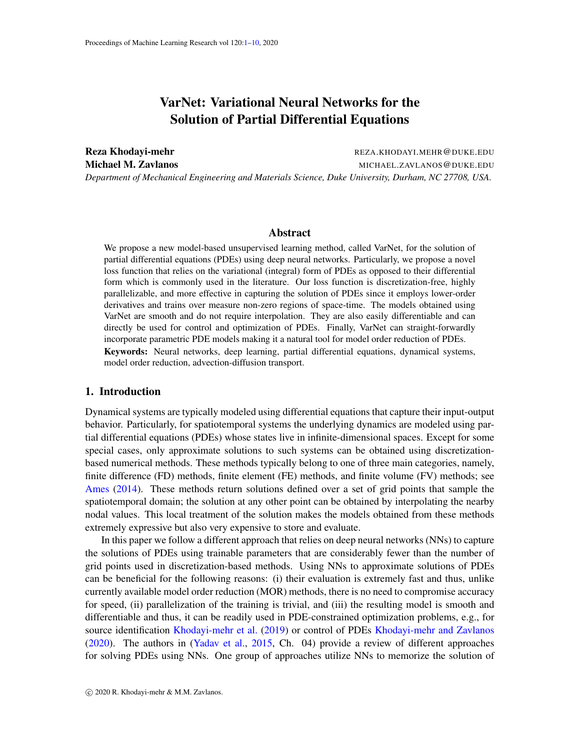# VarNet: Variational Neural Networks for the Solution of Partial Differential Equations

<span id="page-0-0"></span>Reza Khodayi-mehr **REZA.KHODAYI.MEHR@DUKE.EDU** Michael M. Zavlanos and the state of the MICHAEL.ZAVLANOS @DUKE.EDU *Department of Mechanical Engineering and Materials Science, Duke University, Durham, NC 27708, USA.*

#### Abstract

We propose a new model-based unsupervised learning method, called VarNet, for the solution of partial differential equations (PDEs) using deep neural networks. Particularly, we propose a novel loss function that relies on the variational (integral) form of PDEs as opposed to their differential form which is commonly used in the literature. Our loss function is discretization-free, highly parallelizable, and more effective in capturing the solution of PDEs since it employs lower-order derivatives and trains over measure non-zero regions of space-time. The models obtained using VarNet are smooth and do not require interpolation. They are also easily differentiable and can directly be used for control and optimization of PDEs. Finally, VarNet can straight-forwardly incorporate parametric PDE models making it a natural tool for model order reduction of PDEs. Keywords: Neural networks, deep learning, partial differential equations, dynamical systems, model order reduction, advection-diffusion transport.

## 1. Introduction

Dynamical systems are typically modeled using differential equations that capture their input-output behavior. Particularly, for spatiotemporal systems the underlying dynamics are modeled using partial differential equations (PDEs) whose states live in infinite-dimensional spaces. Except for some special cases, only approximate solutions to such systems can be obtained using discretizationbased numerical methods. These methods typically belong to one of three main categories, namely, finite difference (FD) methods, finite element (FE) methods, and finite volume (FV) methods; see [Ames](#page-8-0) [\(2014\)](#page-8-0). These methods return solutions defined over a set of grid points that sample the spatiotemporal domain; the solution at any other point can be obtained by interpolating the nearby nodal values. This local treatment of the solution makes the models obtained from these methods extremely expressive but also very expensive to store and evaluate.

In this paper we follow a different approach that relies on deep neural networks (NNs) to capture the solutions of PDEs using trainable parameters that are considerably fewer than the number of grid points used in discretization-based methods. Using NNs to approximate solutions of PDEs can be beneficial for the following reasons: (i) their evaluation is extremely fast and thus, unlike currently available model order reduction (MOR) methods, there is no need to compromise accuracy for speed, (ii) parallelization of the training is trivial, and (iii) the resulting model is smooth and differentiable and thus, it can be readily used in PDE-constrained optimization problems, e.g., for source identification [Khodayi-mehr et al.](#page-8-1) [\(2019\)](#page-8-1) or control of PDEs [Khodayi-mehr and Zavlanos](#page-8-2) [\(2020\)](#page-8-2). The authors in [\(Yadav et al.,](#page-9-1) [2015,](#page-9-1) Ch. 04) provide a review of different approaches for solving PDEs using NNs. One group of approaches utilize NNs to memorize the solution of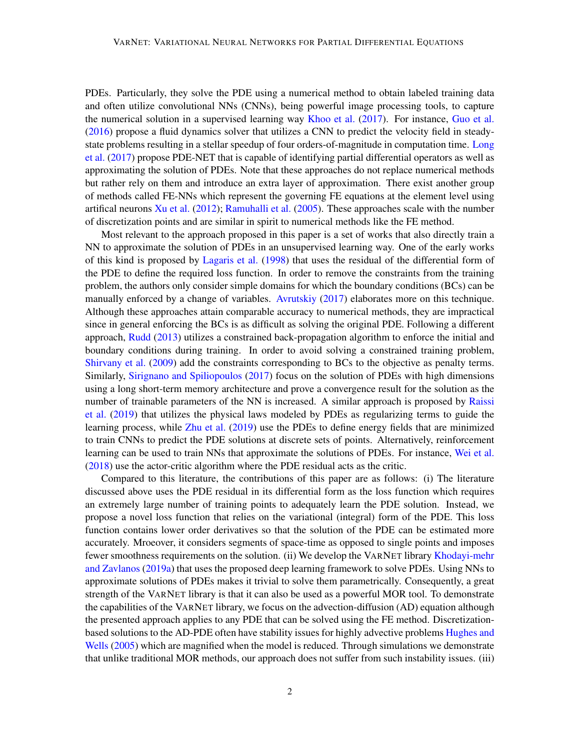PDEs. Particularly, they solve the PDE using a numerical method to obtain labeled training data and often utilize convolutional NNs (CNNs), being powerful image processing tools, to capture the numerical solution in a supervised learning way [Khoo et al.](#page-8-3) [\(2017\)](#page-8-3). For instance, [Guo et al.](#page-8-4) [\(2016\)](#page-8-4) propose a fluid dynamics solver that utilizes a CNN to predict the velocity field in steadystate problems resulting in a stellar speedup of four orders-of-magnitude in computation time. [Long](#page-9-2) [et al.](#page-9-2) [\(2017\)](#page-9-2) propose PDE-NET that is capable of identifying partial differential operators as well as approximating the solution of PDEs. Note that these approaches do not replace numerical methods but rather rely on them and introduce an extra layer of approximation. There exist another group of methods called FE-NNs which represent the governing FE equations at the element level using artifical neurons [Xu et al.](#page-9-3) [\(2012\)](#page-9-3); [Ramuhalli et al.](#page-9-4) [\(2005\)](#page-9-4). These approaches scale with the number of discretization points and are similar in spirit to numerical methods like the FE method.

Most relevant to the approach proposed in this paper is a set of works that also directly train a NN to approximate the solution of PDEs in an unsupervised learning way. One of the early works of this kind is proposed by [Lagaris et al.](#page-9-5) [\(1998\)](#page-9-5) that uses the residual of the differential form of the PDE to define the required loss function. In order to remove the constraints from the training problem, the authors only consider simple domains for which the boundary conditions (BCs) can be manually enforced by a change of variables. [Avrutskiy](#page-8-5) [\(2017\)](#page-8-5) elaborates more on this technique. Although these approaches attain comparable accuracy to numerical methods, they are impractical since in general enforcing the BCs is as difficult as solving the original PDE. Following a different approach, [Rudd](#page-9-6) [\(2013\)](#page-9-6) utilizes a constrained back-propagation algorithm to enforce the initial and boundary conditions during training. In order to avoid solving a constrained training problem, [Shirvany et al.](#page-9-7) [\(2009\)](#page-9-7) add the constraints corresponding to BCs to the objective as penalty terms. Similarly, [Sirignano and Spiliopoulos](#page-9-8) [\(2017\)](#page-9-8) focus on the solution of PDEs with high dimensions using a long short-term memory architecture and prove a convergence result for the solution as the number of trainable parameters of the NN is increased. A similar approach is proposed by [Raissi](#page-9-9) [et al.](#page-9-9) [\(2019\)](#page-9-9) that utilizes the physical laws modeled by PDEs as regularizing terms to guide the learning process, while [Zhu et al.](#page-9-10) [\(2019\)](#page-9-10) use the PDEs to define energy fields that are minimized to train CNNs to predict the PDE solutions at discrete sets of points. Alternatively, reinforcement learning can be used to train NNs that approximate the solutions of PDEs. For instance, [Wei et al.](#page-9-11) [\(2018\)](#page-9-11) use the actor-critic algorithm where the PDE residual acts as the critic.

Compared to this literature, the contributions of this paper are as follows: (i) The literature discussed above uses the PDE residual in its differential form as the loss function which requires an extremely large number of training points to adequately learn the PDE solution. Instead, we propose a novel loss function that relies on the variational (integral) form of the PDE. This loss function contains lower order derivatives so that the solution of the PDE can be estimated more accurately. Mroeover, it considers segments of space-time as opposed to single points and imposes fewer smoothness requirements on the solution. (ii) We develop the VARNET library [Khodayi-mehr](#page-8-6) [and Zavlanos](#page-8-6) [\(2019a\)](#page-8-6) that uses the proposed deep learning framework to solve PDEs. Using NNs to approximate solutions of PDEs makes it trivial to solve them parametrically. Consequently, a great strength of the VARNET library is that it can also be used as a powerful MOR tool. To demonstrate the capabilities of the VARNET library, we focus on the advection-diffusion (AD) equation although the presented approach applies to any PDE that can be solved using the FE method. Discretizationbased solutions to the AD-PDE often have stability issues for highly advective problems [Hughes and](#page-8-7) [Wells](#page-8-7) [\(2005\)](#page-8-7) which are magnified when the model is reduced. Through simulations we demonstrate that unlike traditional MOR methods, our approach does not suffer from such instability issues. (iii)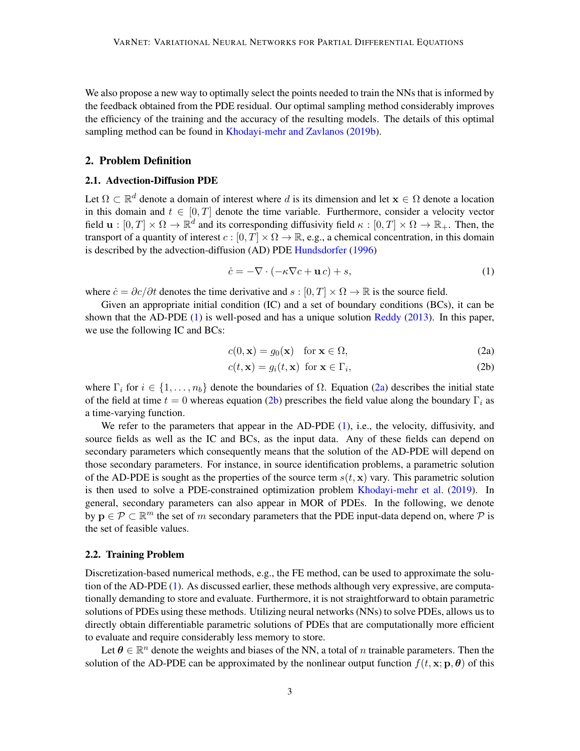We also propose a new way to optimally select the points needed to train the NNs that is informed by the feedback obtained from the PDE residual. Our optimal sampling method considerably improves the efficiency of the training and the accuracy of the resulting models. The details of this optimal sampling method can be found in [Khodayi-mehr and Zavlanos](#page-8-8) [\(2019b\)](#page-8-8).

#### 2. Problem Definition

#### 2.1. Advection-Diffusion PDE

Let  $\Omega \subset \mathbb{R}^d$  denote a domain of interest where d is its dimension and let  $\mathbf{x} \in \Omega$  denote a location in this domain and  $t \in [0, T]$  denote the time variable. Furthermore, consider a velocity vector field  $\mathbf{u}:[0,T]\times\Omega\to\mathbb{R}^d$  and its corresponding diffusivity field  $\kappa:[0,T]\times\Omega\to\mathbb{R}_+$ . Then, the transport of a quantity of interest  $c : [0, T] \times \Omega \to \mathbb{R}$ , e.g., a chemical concentration, in this domain is described by the advection-diffusion (AD) PDE [Hundsdorfer](#page-8-9) [\(1996\)](#page-8-9)

<span id="page-2-0"></span>
$$
\dot{c} = -\nabla \cdot (-\kappa \nabla c + \mathbf{u} \, c) + s,\tag{1}
$$

where  $\dot{c} = \partial c/\partial t$  denotes the time derivative and  $s : [0, T] \times \Omega \rightarrow \mathbb{R}$  is the source field.

Given an appropriate initial condition (IC) and a set of boundary conditions (BCs), it can be shown that the AD-PDE [\(1\)](#page-2-0) is well-posed and has a unique solution [Reddy](#page-9-12) [\(2013\)](#page-9-12). In this paper, we use the following IC and BCs:

<span id="page-2-2"></span><span id="page-2-1"></span>
$$
c(0, \mathbf{x}) = g_0(\mathbf{x}) \quad \text{for } \mathbf{x} \in \Omega,
$$
 (2a)

$$
c(t, \mathbf{x}) = g_i(t, \mathbf{x}) \text{ for } \mathbf{x} \in \Gamma_i,
$$
\n(2b)

where  $\Gamma_i$  for  $i \in \{1, \ldots, n_b\}$  denote the boundaries of  $\Omega$ . Equation [\(2a\)](#page-2-1) describes the initial state of the field at time  $t = 0$  whereas equation [\(2b\)](#page-2-2) prescribes the field value along the boundary  $\Gamma_i$  as a time-varying function.

We refer to the parameters that appear in the AD-PDE [\(1\)](#page-2-0), i.e., the velocity, diffusivity, and source fields as well as the IC and BCs, as the input data. Any of these fields can depend on secondary parameters which consequently means that the solution of the AD-PDE will depend on those secondary parameters. For instance, in source identification problems, a parametric solution of the AD-PDE is sought as the properties of the source term  $s(t, x)$  vary. This parametric solution is then used to solve a PDE-constrained optimization problem [Khodayi-mehr et al.](#page-8-1) [\(2019\)](#page-8-1). In general, secondary parameters can also appear in MOR of PDEs. In the following, we denote by  $\mathbf{p} \in \mathcal{P} \subset \mathbb{R}^m$  the set of m secondary parameters that the PDE input-data depend on, where  $\mathcal P$  is the set of feasible values.

#### 2.2. Training Problem

Discretization-based numerical methods, e.g., the FE method, can be used to approximate the solution of the AD-PDE [\(1\)](#page-2-0). As discussed earlier, these methods although very expressive, are computationally demanding to store and evaluate. Furthermore, it is not straightforward to obtain parametric solutions of PDEs using these methods. Utilizing neural networks (NNs) to solve PDEs, allows us to directly obtain differentiable parametric solutions of PDEs that are computationally more efficient to evaluate and require considerably less memory to store.

Let  $\theta \in \mathbb{R}^n$  denote the weights and biases of the NN, a total of n trainable parameters. Then the solution of the AD-PDE can be approximated by the nonlinear output function  $f(t, \mathbf{x}; \mathbf{p}, \theta)$  of this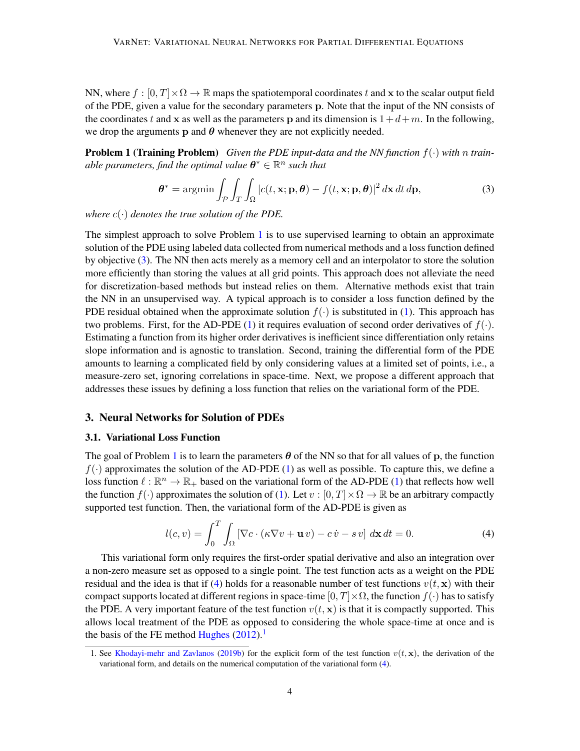NN, where  $f : [0, T] \times \Omega \to \mathbb{R}$  maps the spatiotemporal coordinates t and x to the scalar output field of the PDE, given a value for the secondary parameters p. Note that the input of the NN consists of the coordinates t and x as well as the parameters p and its dimension is  $1+d+m$ . In the following, we drop the arguments p and  $\theta$  whenever they are not explicitly needed.

<span id="page-3-0"></span>Problem 1 (Training Problem) *Given the PDE input-data and the NN function* f(·) *with* n *train*able parameters, find the optimal value  $\boldsymbol{\theta}^* \in \mathbb{R}^n$  such that

<span id="page-3-1"></span>
$$
\boldsymbol{\theta}^* = \operatorname{argmin} \int_{\mathcal{P}} \int_{T} \int_{\Omega} \left| c(t, \mathbf{x}; \mathbf{p}, \boldsymbol{\theta}) - f(t, \mathbf{x}; \mathbf{p}, \boldsymbol{\theta}) \right|^2 d\mathbf{x} dt d\mathbf{p},\tag{3}
$$

*where*  $c(\cdot)$  *denotes the true solution of the PDE.* 

The simplest approach to solve Problem  $1$  is to use supervised learning to obtain an approximate solution of the PDE using labeled data collected from numerical methods and a loss function defined by objective [\(3\)](#page-3-1). The NN then acts merely as a memory cell and an interpolator to store the solution more efficiently than storing the values at all grid points. This approach does not alleviate the need for discretization-based methods but instead relies on them. Alternative methods exist that train the NN in an unsupervised way. A typical approach is to consider a loss function defined by the PDE residual obtained when the approximate solution  $f(\cdot)$  is substituted in [\(1\)](#page-2-0). This approach has two problems. First, for the AD-PDE [\(1\)](#page-2-0) it requires evaluation of second order derivatives of  $f(.)$ . Estimating a function from its higher order derivatives is inefficient since differentiation only retains slope information and is agnostic to translation. Second, training the differential form of the PDE amounts to learning a complicated field by only considering values at a limited set of points, i.e., a measure-zero set, ignoring correlations in space-time. Next, we propose a different approach that addresses these issues by defining a loss function that relies on the variational form of the PDE.

## 3. Neural Networks for Solution of PDEs

### 3.1. Variational Loss Function

The goal of Problem [1](#page-3-0) is to learn the parameters  $\theta$  of the NN so that for all values of p, the function  $f(\cdot)$  approximates the solution of the AD-PDE [\(1\)](#page-2-0) as well as possible. To capture this, we define a loss function  $\ell : \mathbb{R}^n \to \mathbb{R}_+$  based on the variational form of the AD-PDE [\(1\)](#page-2-0) that reflects how well the function  $f(\cdot)$  approximates the solution of [\(1\)](#page-2-0). Let  $v : [0, T] \times \Omega \to \mathbb{R}$  be an arbitrary compactly supported test function. Then, the variational form of the AD-PDE is given as

<span id="page-3-2"></span>
$$
l(c,v) = \int_0^T \int_{\Omega} \left[ \nabla c \cdot (\kappa \nabla v + \mathbf{u} v) - c \dot{v} - s v \right] d\mathbf{x} dt = 0.
$$
 (4)

This variational form only requires the first-order spatial derivative and also an integration over a non-zero measure set as opposed to a single point. The test function acts as a weight on the PDE residual and the idea is that if [\(4\)](#page-3-2) holds for a reasonable number of test functions  $v(t, x)$  with their compact supports located at different regions in space-time  $[0, T] \times \Omega$ , the function  $f(\cdot)$  has to satisfy the PDE. A very important feature of the test function  $v(t, x)$  is that it is compactly supported. This allows local treatment of the PDE as opposed to considering the whole space-time at once and is the basis of the FE method [Hughes](#page-8-10)  $(2012).<sup>1</sup>$  $(2012).<sup>1</sup>$  $(2012).<sup>1</sup>$  $(2012).<sup>1</sup>$ 

<span id="page-3-3"></span><sup>1.</sup> See [Khodayi-mehr and Zavlanos](#page-8-8) [\(2019b\)](#page-8-8) for the explicit form of the test function  $v(t, x)$ , the derivation of the variational form, and details on the numerical computation of the variational form [\(4\)](#page-3-2).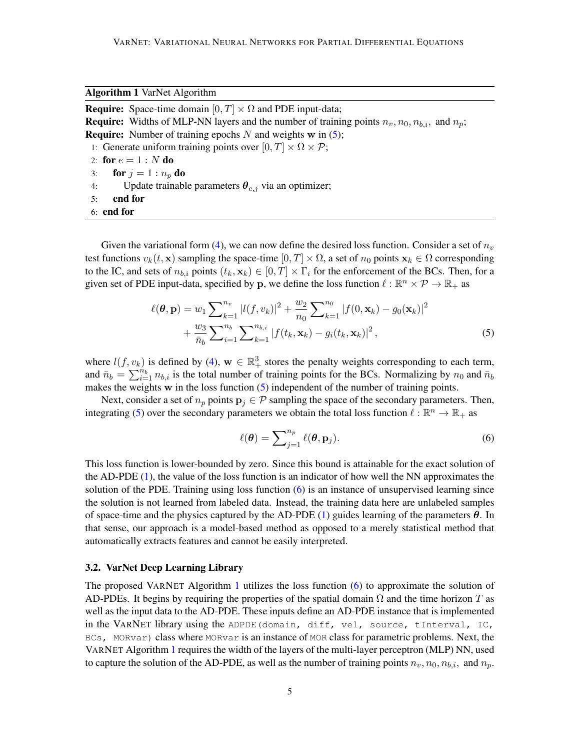<span id="page-4-2"></span>Algorithm 1 VarNet Algorithm

<span id="page-4-5"></span><span id="page-4-4"></span><span id="page-4-3"></span>**Require:** Space-time domain  $[0, T] \times \Omega$  and PDE input-data; **Require:** Widths of MLP-NN layers and the number of training points  $n_v$ ,  $n_0$ ,  $n_b$ , and  $n_v$ ; **Require:** Number of training epochs  $N$  and weights w in  $(5)$ ; 1: Generate uniform training points over  $[0, T] \times \Omega \times \mathcal{P}$ ; 2: for  $e = 1 : N$  do 3: for  $j = 1 : n_p$  do 4: Update trainable parameters  $\theta_{e,j}$  via an optimizer; 5: end for 6: end for

<span id="page-4-6"></span>Given the variational form [\(4\)](#page-3-2), we can now define the desired loss function. Consider a set of  $n_v$ test functions  $v_k(t, \mathbf{x})$  sampling the space-time  $[0, T] \times \Omega$ , a set of  $n_0$  points  $\mathbf{x}_k \in \Omega$  corresponding to the IC, and sets of  $n_{b,i}$  points  $(t_k, \mathbf{x}_k) \in [0, T] \times \Gamma_i$  for the enforcement of the BCs. Then, for a given set of PDE input-data, specified by p, we define the loss function  $\ell : \mathbb{R}^n \times \mathcal{P} \to \mathbb{R}_+$  as

$$
\ell(\boldsymbol{\theta}, \mathbf{p}) = w_1 \sum_{k=1}^{n_v} |l(f, v_k)|^2 + \frac{w_2}{n_0} \sum_{k=1}^{n_0} |f(0, \mathbf{x}_k) - g_0(\mathbf{x}_k)|^2
$$
  
+ 
$$
\frac{w_3}{\bar{n}_b} \sum_{i=1}^{n_b} \sum_{k=1}^{n_{b,i}} |f(t_k, \mathbf{x}_k) - g_i(t_k, \mathbf{x}_k)|^2,
$$
 (5)

where  $l(f, v_k)$  is defined by [\(4\)](#page-3-2),  $\mathbf{w} \in \mathbb{R}_+^3$  stores the penalty weights corresponding to each term, and  $\bar{n}_b = \sum_{i=1}^{n_b} n_{b,i}$  is the total number of training points for the BCs. Normalizing by  $n_0$  and  $\bar{n}_b$ makes the weights w in the loss function [\(5\)](#page-4-0) independent of the number of training points.

Next, consider a set of  $n_p$  points  $p_j \in \mathcal{P}$  sampling the space of the secondary parameters. Then, integrating [\(5\)](#page-4-0) over the secondary parameters we obtain the total loss function  $\ell : \mathbb{R}^n \to \mathbb{R}_+$  as

<span id="page-4-1"></span><span id="page-4-0"></span>
$$
\ell(\boldsymbol{\theta}) = \sum_{j=1}^{n_p} \ell(\boldsymbol{\theta}, \mathbf{p}_j).
$$
 (6)

This loss function is lower-bounded by zero. Since this bound is attainable for the exact solution of the AD-PDE [\(1\)](#page-2-0), the value of the loss function is an indicator of how well the NN approximates the solution of the PDE. Training using loss function  $(6)$  is an instance of unsupervised learning since the solution is not learned from labeled data. Instead, the training data here are unlabeled samples of space-time and the physics captured by the AD-PDE [\(1\)](#page-2-0) guides learning of the parameters  $\theta$ . In that sense, our approach is a model-based method as opposed to a merely statistical method that automatically extracts features and cannot be easily interpreted.

## 3.2. VarNet Deep Learning Library

The proposed VARNET Algorithm [1](#page-4-2) utilizes the loss function  $(6)$  to approximate the solution of AD-PDEs. It begins by requiring the properties of the spatial domain  $\Omega$  and the time horizon T as well as the input data to the AD-PDE. These inputs define an AD-PDE instance that is implemented in the VARNET library using the ADPDE(domain, diff, vel, source, tInterval, IC, BCs, MORvar) class where MORvar is an instance of MOR class for parametric problems. Next, the VARNET Algorithm [1](#page-4-2) requires the width of the layers of the multi-layer perceptron (MLP) NN, used to capture the solution of the AD-PDE, as well as the number of training points  $n_v, n_0, n_{b,i}$ , and  $n_p$ .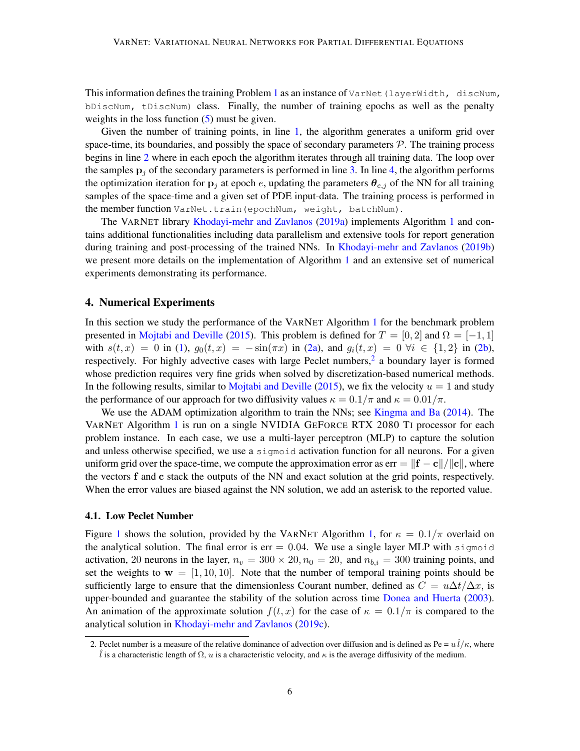This information defines the training Problem [1](#page-3-0) as an instance of  $VarNet$  (layerWidth, discNum, bDiscNum, tDiscNum) class. Finally, the number of training epochs as well as the penalty weights in the loss function [\(5\)](#page-4-0) must be given.

Given the number of training points, in line [1,](#page-4-3) the algorithm generates a uniform grid over space-time, its boundaries, and possibly the space of secondary parameters  $P$ . The training process begins in line [2](#page-4-4) where in each epoch the algorithm iterates through all training data. The loop over the samples  $p_i$  of the secondary parameters is performed in line [3.](#page-4-5) In line [4,](#page-4-6) the algorithm performs the optimization iteration for  $\mathbf{p}_i$  at epoch e, updating the parameters  $\theta_{e,i}$  of the NN for all training samples of the space-time and a given set of PDE input-data. The training process is performed in the member function VarNet.train (epochNum, weight, batchNum).

The VARNET library [Khodayi-mehr and Zavlanos](#page-8-6) [\(2019a\)](#page-8-6) implements Algorithm [1](#page-4-2) and contains additional functionalities including data parallelism and extensive tools for report generation during training and post-processing of the trained NNs. In [Khodayi-mehr and Zavlanos](#page-8-8) [\(2019b\)](#page-8-8) we present more details on the implementation of Algorithm [1](#page-4-2) and an extensive set of numerical experiments demonstrating its performance.

## 4. Numerical Experiments

In this section we study the performance of the VARNET Algorithm [1](#page-4-2) for the benchmark problem presented in [Mojtabi and Deville](#page-9-13) [\(2015\)](#page-9-13). This problem is defined for  $T = [0, 2]$  and  $\Omega = [-1, 1]$ with  $s(t, x) = 0$  in [\(1\)](#page-2-0),  $g_0(t, x) = -\sin(\pi x)$  in [\(2a\)](#page-2-1), and  $g_i(t, x) = 0$   $\forall i \in \{1, 2\}$  in [\(2b\)](#page-2-2), respectively. For highly advective cases with large Peclet numbers,<sup>[2](#page-5-0)</sup> a boundary layer is formed whose prediction requires very fine grids when solved by discretization-based numerical methods. In the following results, similar to [Mojtabi and Deville](#page-9-13) [\(2015\)](#page-9-13), we fix the velocity  $u = 1$  and study the performance of our approach for two diffusivity values  $\kappa = 0.1/\pi$  and  $\kappa = 0.01/\pi$ .

We use the ADAM optimization algorithm to train the NNs; see [Kingma and Ba](#page-9-14) [\(2014\)](#page-9-14). The VARNET Algorithm [1](#page-4-2) is run on a single NVIDIA GEFORCE RTX 2080 TI processor for each problem instance. In each case, we use a multi-layer perceptron (MLP) to capture the solution and unless otherwise specified, we use a sigmoid activation function for all neurons. For a given uniform grid over the space-time, we compute the approximation error as err =  $||\mathbf{f} - \mathbf{c}||/||\mathbf{c}||$ , where the vectors f and c stack the outputs of the NN and exact solution at the grid points, respectively. When the error values are biased against the NN solution, we add an asterisk to the reported value.

#### 4.1. Low Peclet Number

Figure [1](#page-6-0) shows the solution, provided by the VARNET Algorithm [1,](#page-4-2) for  $\kappa = 0.1/\pi$  overlaid on the analytical solution. The final error is  $err = 0.04$ . We use a single layer MLP with sigmoid activation, 20 neurons in the layer,  $n_v = 300 \times 20$ ,  $n_0 = 20$ , and  $n_{b,i} = 300$  training points, and set the weights to  $w = [1, 10, 10]$ . Note that the number of temporal training points should be sufficiently large to ensure that the dimensionless Courant number, defined as  $C = u\Delta t/\Delta x$ , is upper-bounded and guarantee the stability of the solution across time [Donea and Huerta](#page-8-11) [\(2003\)](#page-8-11). An animation of the approximate solution  $f(t, x)$  for the case of  $\kappa = 0.1/\pi$  is compared to the analytical solution in [Khodayi-mehr and Zavlanos](#page-8-12) [\(2019c\)](#page-8-12).

<span id="page-5-0"></span><sup>2.</sup> Peclet number is a measure of the relative dominance of advection over diffusion and is defined as Pe =  $u\hat{i}/\kappa$ , where l is a characteristic length of  $\Omega$ , u is a characteristic velocity, and  $\kappa$  is the average diffusivity of the medium.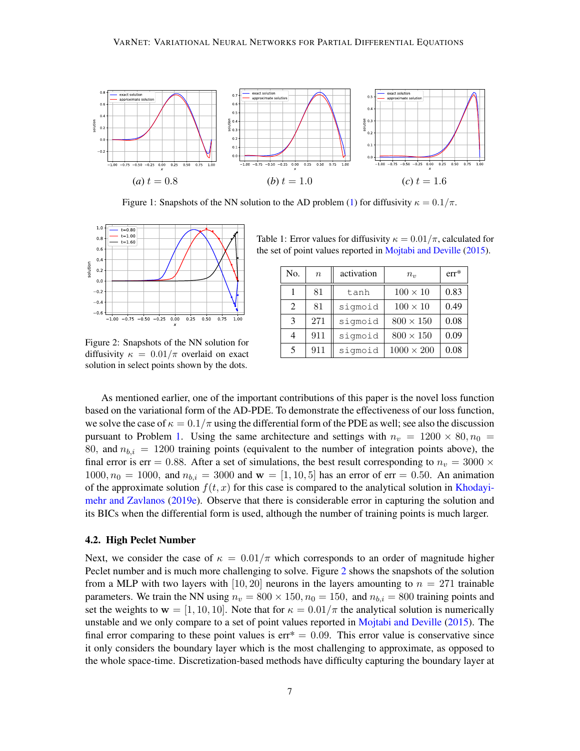<span id="page-6-0"></span>

Figure 1: Snapshots of the NN solution to the AD problem [\(1\)](#page-2-0) for diffusivity  $\kappa = 0.1/\pi$ .

<span id="page-6-1"></span>

Figure 2: Snapshots of the NN solution for diffusivity  $\kappa = 0.01/\pi$  overlaid on exact solution in select points shown by the dots.

<span id="page-6-2"></span>Table 1: Error values for diffusivity  $\kappa = 0.01/\pi$ , calculated for the set of point values reported in [Mojtabi and Deville](#page-9-13) [\(2015\)](#page-9-13).

| No. | $\boldsymbol{n}$ | activation | $n_{\eta}$        | $err^*$ |
|-----|------------------|------------|-------------------|---------|
|     | 81               | tanh       | $100 \times 10$   | 0.83    |
| 2   | 81               | sigmoid    | $100 \times 10$   | 0.49    |
| 3   | 271              | sigmoid    | $800 \times 150$  | 0.08    |
| 4   | 911              | sigmoid    | $800 \times 150$  | 0.09    |
| 5   | 911              | sigmoid    | $1000 \times 200$ | 0.08    |

As mentioned earlier, one of the important contributions of this paper is the novel loss function based on the variational form of the AD-PDE. To demonstrate the effectiveness of our loss function, we solve the case of  $\kappa = 0.1/\pi$  using the differential form of the PDE as well; see also the discussion pursuant to Problem [1.](#page-3-0) Using the same architecture and settings with  $n_v = 1200 \times 80, n_0 =$ 80, and  $n_{b,i} = 1200$  training points (equivalent to the number of integration points above), the final error is err = 0.88. After a set of simulations, the best result corresponding to  $n_v = 3000 \times$  $1000, n_0 = 1000$ , and  $n_{b,i} = 3000$  and  $w = [1, 10, 5]$  has an error of err = 0.50. An animation of the approximate solution  $f(t, x)$  for this case is compared to the analytical solution in [Khodayi](#page-8-13)[mehr and Zavlanos](#page-8-13) [\(2019e\)](#page-8-13). Observe that there is considerable error in capturing the solution and its BICs when the differential form is used, although the number of training points is much larger.

#### 4.2. High Peclet Number

Next, we consider the case of  $\kappa = 0.01/\pi$  which corresponds to an order of magnitude higher Peclet number and is much more challenging to solve. Figure [2](#page-6-1) shows the snapshots of the solution from a MLP with two layers with [10, 20] neurons in the layers amounting to  $n = 271$  trainable parameters. We train the NN using  $n_v = 800 \times 150$ ,  $n_0 = 150$ , and  $n_{b,i} = 800$  training points and set the weights to  $w = [1, 10, 10]$ . Note that for  $\kappa = 0.01/\pi$  the analytical solution is numerically unstable and we only compare to a set of point values reported in [Mojtabi and Deville](#page-9-13) [\(2015\)](#page-9-13). The final error comparing to these point values is  $err^* = 0.09$ . This error value is conservative since it only considers the boundary layer which is the most challenging to approximate, as opposed to the whole space-time. Discretization-based methods have difficulty capturing the boundary layer at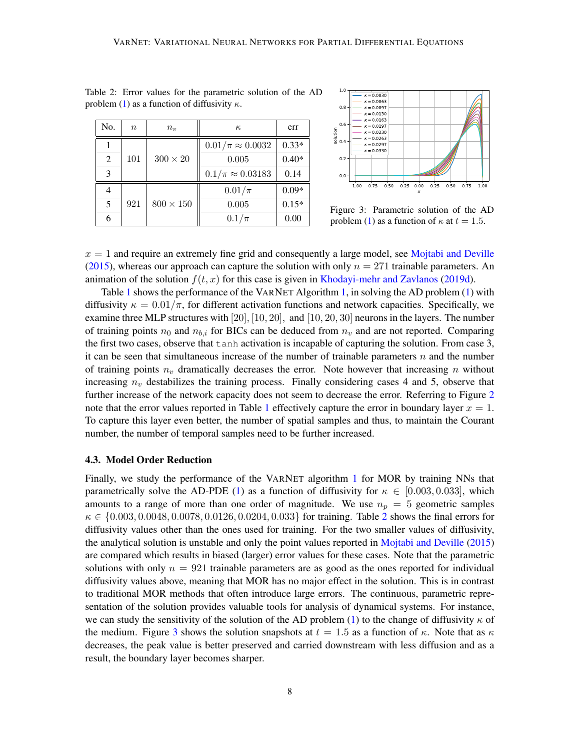| No. | $\, n$ | $n_{\eta}$     | $\kappa$                  | err     |
|-----|--------|----------------|---------------------------|---------|
|     | 101    | $300\times20$  | $0.01/\pi \approx 0.0032$ | $0.33*$ |
| 2   |        |                | 0.005                     | $0.40*$ |
| 3   |        |                | $0.1/\pi \approx 0.03183$ | 0.14    |
|     | 921    | $800\times150$ | $0.01/\pi$                | $0.09*$ |
| 5   |        |                | $0.005\,$                 | $0.15*$ |
|     |        |                | $0.1/\pi$                 | 0.00    |



<span id="page-7-1"></span><span id="page-7-0"></span>Table 2: Error values for the parametric solution of the AD problem [\(1\)](#page-2-0) as a function of diffusivity  $\kappa$ .

Figure 3: Parametric solution of the AD problem [\(1\)](#page-2-0) as a function of  $\kappa$  at  $t = 1.5$ .

 $x = 1$  and require an extremely fine grid and consequently a large model, see [Mojtabi and Deville](#page-9-13) [\(2015\)](#page-9-13), whereas our approach can capture the solution with only  $n = 271$  trainable parameters. An animation of the solution  $f(t, x)$  for this case is given in [Khodayi-mehr and Zavlanos](#page-8-14) [\(2019d\)](#page-8-14).

Table [1](#page-6-2) shows the performance of the VARNET Algorithm [1,](#page-4-2) in solving the AD problem [\(1\)](#page-2-0) with diffusivity  $\kappa = 0.01/\pi$ , for different activation functions and network capacities. Specifically, we examine three MLP structures with  $[20]$ ,  $[10, 20]$ , and  $[10, 20, 30]$  neurons in the layers. The number of training points  $n_0$  and  $n_{b,i}$  for BICs can be deduced from  $n_v$  and are not reported. Comparing the first two cases, observe that tanh activation is incapable of capturing the solution. From case 3, it can be seen that simultaneous increase of the number of trainable parameters  $n$  and the number of training points  $n_v$  dramatically decreases the error. Note however that increasing n without increasing  $n_v$  destabilizes the training process. Finally considering cases 4 and 5, observe that further increase of the network capacity does not seem to decrease the error. Referring to Figure [2](#page-6-1) note that the error values reported in Table [1](#page-6-2) effectively capture the error in boundary layer  $x = 1$ . To capture this layer even better, the number of spatial samples and thus, to maintain the Courant number, the number of temporal samples need to be further increased.

#### 4.3. Model Order Reduction

Finally, we study the performance of the VARNET algorithm [1](#page-4-2) for MOR by training NNs that parametrically solve the AD-PDE [\(1\)](#page-2-0) as a function of diffusivity for  $\kappa \in [0.003, 0.033]$ , which amounts to a range of more than one order of magnitude. We use  $n_p = 5$  geometric samples  $\kappa \in \{0.003, 0.0048, 0.0078, 0.0126, 0.0204, 0.033\}$  $\kappa \in \{0.003, 0.0048, 0.0078, 0.0126, 0.0204, 0.033\}$  $\kappa \in \{0.003, 0.0048, 0.0078, 0.0126, 0.0204, 0.033\}$  for training. Table 2 shows the final errors for diffusivity values other than the ones used for training. For the two smaller values of diffusivity, the analytical solution is unstable and only the point values reported in [Mojtabi and Deville](#page-9-13) [\(2015\)](#page-9-13) are compared which results in biased (larger) error values for these cases. Note that the parametric solutions with only  $n = 921$  trainable parameters are as good as the ones reported for individual diffusivity values above, meaning that MOR has no major effect in the solution. This is in contrast to traditional MOR methods that often introduce large errors. The continuous, parametric representation of the solution provides valuable tools for analysis of dynamical systems. For instance, we can study the sensitivity of the solution of the AD problem [\(1\)](#page-2-0) to the change of diffusivity  $\kappa$  of the medium. Figure [3](#page-7-1) shows the solution snapshots at  $t = 1.5$  as a function of  $\kappa$ . Note that as  $\kappa$ decreases, the peak value is better preserved and carried downstream with less diffusion and as a result, the boundary layer becomes sharper.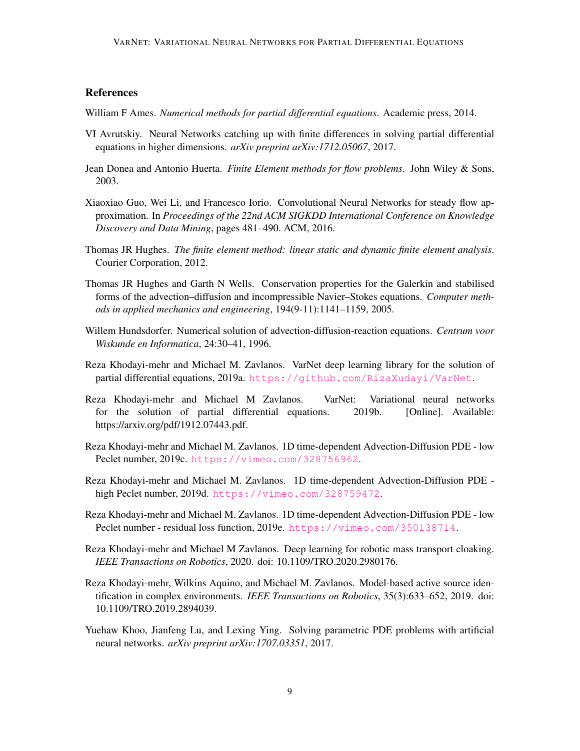# **References**

<span id="page-8-0"></span>William F Ames. *Numerical methods for partial differential equations*. Academic press, 2014.

- <span id="page-8-5"></span>VI Avrutskiy. Neural Networks catching up with finite differences in solving partial differential equations in higher dimensions. *arXiv preprint arXiv:1712.05067*, 2017.
- <span id="page-8-11"></span>Jean Donea and Antonio Huerta. *Finite Element methods for flow problems*. John Wiley & Sons, 2003.
- <span id="page-8-4"></span>Xiaoxiao Guo, Wei Li, and Francesco Iorio. Convolutional Neural Networks for steady flow approximation. In *Proceedings of the 22nd ACM SIGKDD International Conference on Knowledge Discovery and Data Mining*, pages 481–490. ACM, 2016.
- <span id="page-8-10"></span>Thomas JR Hughes. *The finite element method: linear static and dynamic finite element analysis*. Courier Corporation, 2012.
- <span id="page-8-7"></span>Thomas JR Hughes and Garth N Wells. Conservation properties for the Galerkin and stabilised forms of the advection–diffusion and incompressible Navier–Stokes equations. *Computer methods in applied mechanics and engineering*, 194(9-11):1141–1159, 2005.
- <span id="page-8-9"></span>Willem Hundsdorfer. Numerical solution of advection-diffusion-reaction equations. *Centrum voor Wiskunde en Informatica*, 24:30–41, 1996.
- <span id="page-8-6"></span>Reza Khodayi-mehr and Michael M. Zavlanos. VarNet deep learning library for the solution of partial differential equations, 2019a. <https://github.com/RizaXudayi/VarNet>.
- <span id="page-8-8"></span>Reza Khodayi-mehr and Michael M Zavlanos. VarNet: Variational neural networks for the solution of partial differential equations. 2019b. [Online]. Available: https://arxiv.org/pdf/1912.07443.pdf.
- <span id="page-8-12"></span>Reza Khodayi-mehr and Michael M. Zavlanos. 1D time-dependent Advection-Diffusion PDE - low Peclet number, 2019c. <https://vimeo.com/328756962>.
- <span id="page-8-14"></span>Reza Khodayi-mehr and Michael M. Zavlanos. 1D time-dependent Advection-Diffusion PDE high Peclet number, 2019d. <https://vimeo.com/328759472>.
- <span id="page-8-13"></span>Reza Khodayi-mehr and Michael M. Zavlanos. 1D time-dependent Advection-Diffusion PDE - low Peclet number - residual loss function, 2019e. <https://vimeo.com/350138714>.
- <span id="page-8-2"></span>Reza Khodayi-mehr and Michael M Zavlanos. Deep learning for robotic mass transport cloaking. *IEEE Transactions on Robotics*, 2020. doi: 10.1109/TRO.2020.2980176.
- <span id="page-8-1"></span>Reza Khodayi-mehr, Wilkins Aquino, and Michael M. Zavlanos. Model-based active source identification in complex environments. *IEEE Transactions on Robotics*, 35(3):633–652, 2019. doi: 10.1109/TRO.2019.2894039.
- <span id="page-8-3"></span>Yuehaw Khoo, Jianfeng Lu, and Lexing Ying. Solving parametric PDE problems with artificial neural networks. *arXiv preprint arXiv:1707.03351*, 2017.